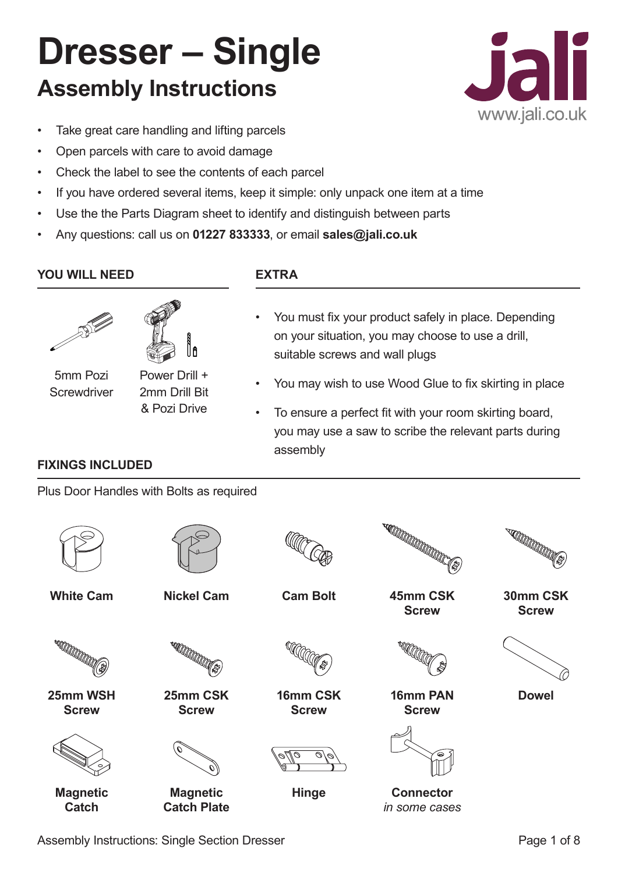# **Dresser – Single Assembly Instructions**



- Take great care handling and lifting parcels
- Open parcels with care to avoid damage
- Check the label to see the contents of each parcel
- If you have ordered several items, keep it simple: only unpack one item at a time
- Use the the Parts Diagram sheet to identify and distinguish between parts
- Any questions: call us on **01227 833333**, or email **sales@jali.co.uk**

## **YOU WILL NEED EXTRA**





5mm Pozi **Screwdriver** 

**FIXINGS INCLUDED**

Power Drill + 2mm Drill Bit

& Pozi Drive

Plus Door Handles with Bolts as required

- You must fix your product safely in place. Depending on your situation, you may choose to use a drill, suitable screws and wall plugs
- You may wish to use Wood Glue to fix skirting in place
- To ensure a perfect fit with your room skirting board, you may use a saw to scribe the relevant parts during assembly

**White Cam Nickel Cam**

**25mm WSH Screw**

**CONTROLLED SERVICE** 





**Cam Bolt 45mm CSK** 



**16mm CSK Screw**



**Hinge** 



**Screw**

**16mm PAN Screw**

**SECONDE CONSTANTS** 

**30mm CSK Screw**



**Dowel**



**Magnetic Catch**

| <b>Magnetic</b> |  |
|-----------------|--|

**25mm CSK Screw**

**CONTROLLED** 

**Catch Plate**



**Connector** *in some cases*

Assembly Instructions: Single Section Dresser **Page 1 of 8** Assembly Instructions: Single Section Dresser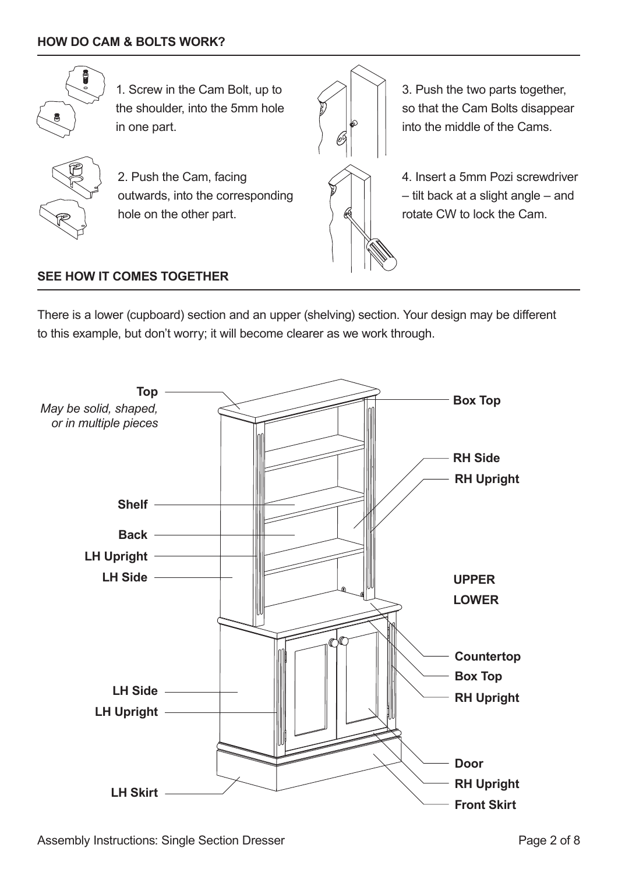

1. Screw in the Cam Bolt, up to the shoulder, into the 5mm hole in one part.



2. Push the Cam, facing outwards, into the corresponding hole on the other part.



3. Push the two parts together, so that the Cam Bolts disappear into the middle of the Cams.

4. Insert a 5mm Pozi screwdriver – tilt back at a slight angle – and rotate CW to lock the Cam.

### **SEE HOW IT COMES TOGETHER**

There is a lower (cupboard) section and an upper (shelving) section. Your design may be different to this example, but don't worry; it will become clearer as we work through.

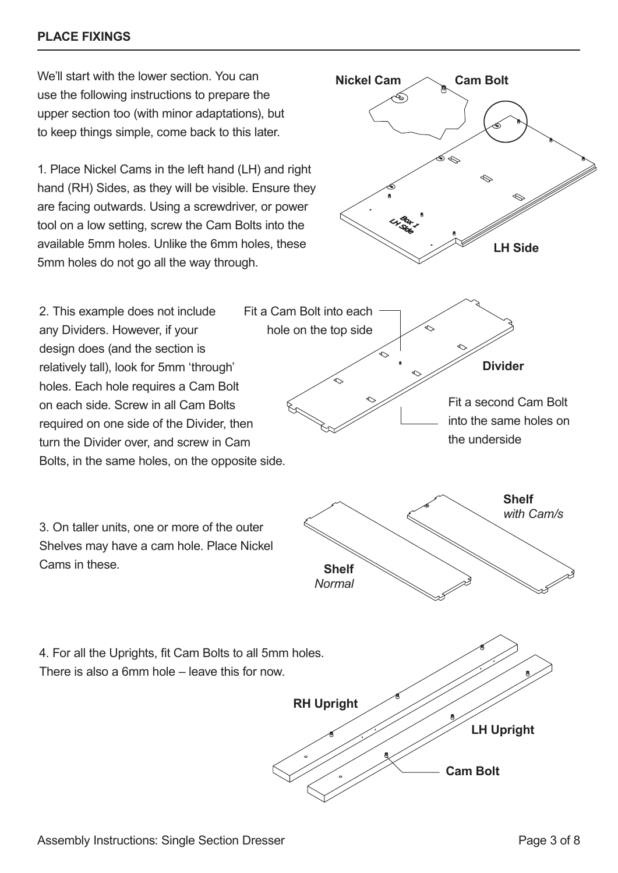#### **PLACE FIXINGS**

We'll start with the lower section. You can use the following instructions to prepare the upper section too (with minor adaptations), but to keep things simple, come back to this later.

1. Place Nickel Cams in the left hand (LH) and right hand (RH) Sides, as they will be visible. Ensure they are facing outwards. Using a screwdriver, or power tool on a low setting, screw the Cam Bolts into the available 5mm holes. Unlike the 6mm holes, these 5mm holes do not go all the way through.



3. On taller units, one or more of the outer Shelves may have a cam hole. Place Nickel Cams in these.

4. For all the Uprights, fit Cam Bolts to all 5mm holes. There is also a 6mm hole – leave this for now. **RH Upright**



**Nickel Cam Cam Bolt**

Þ

క్స

**LH Side**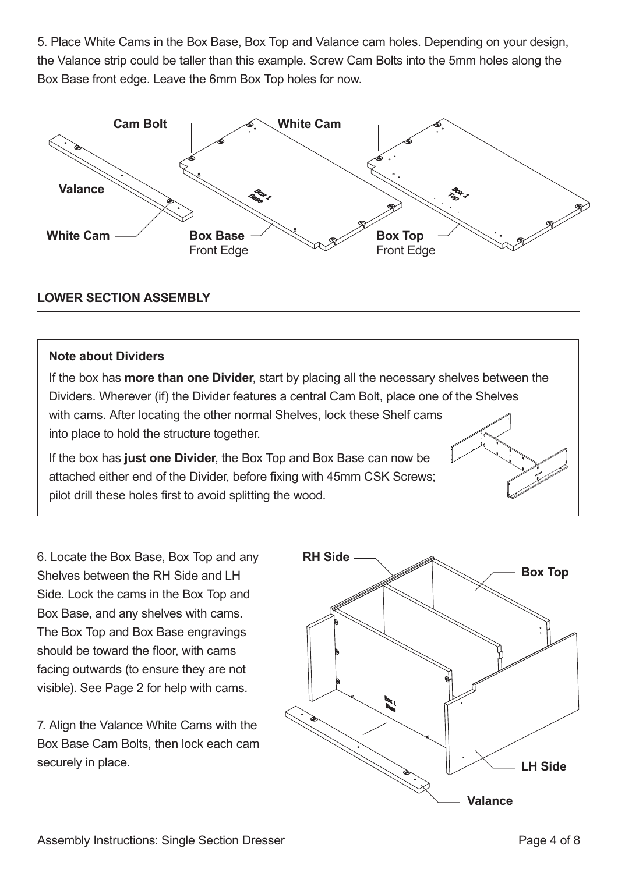5. Place White Cams in the Box Base, Box Top and Valance cam holes. Depending on your design, the Valance strip could be taller than this example. Screw Cam Bolts into the 5mm holes along the Box Base front edge. Leave the 6mm Box Top holes for now.



#### **LOWER SECTION ASSEMBLY**

#### **Note about Dividers**

If the box has **more than one Divider**, start by placing all the necessary shelves between the Dividers. Wherever (if) the Divider features a central Cam Bolt, place one of the Shelves with cams. After locating the other normal Shelves, lock these Shelf cams into place to hold the structure together.

If the box has **just one Divider**, the Box Top and Box Base can now be attached either end of the Divider, before fixing with 45mm CSK Screws; pilot drill these holes first to avoid splitting the wood.

6. Locate the Box Base, Box Top and any Shelves between the RH Side and LH Side. Lock the cams in the Box Top and Box Base, and any shelves with cams. The Box Top and Box Base engravings should be toward the floor, with cams facing outwards (to ensure they are not visible). See Page 2 for help with cams.

7. Align the Valance White Cams with the Box Base Cam Bolts, then lock each cam securely in place.

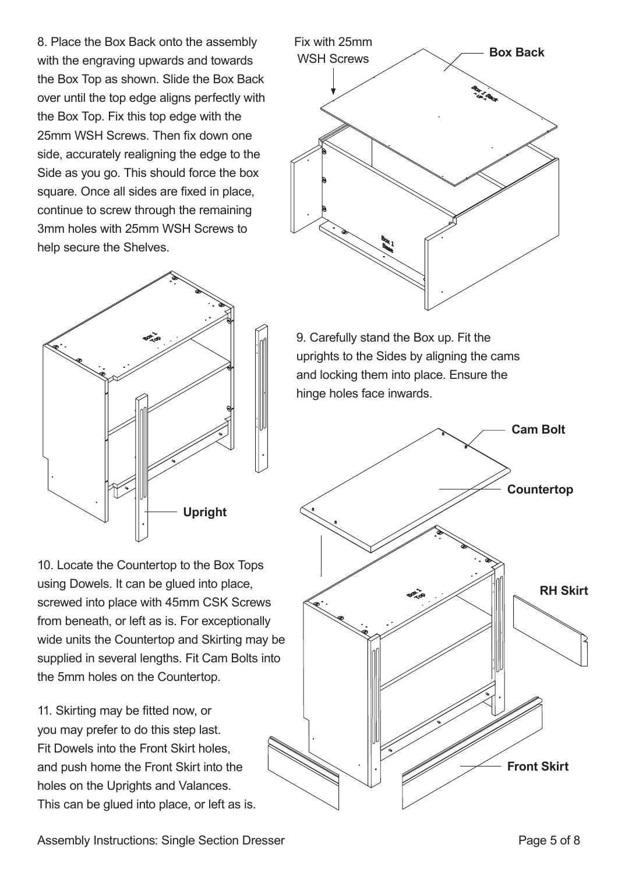8. Place the Box Back onto the assembly with the engraving upwards and towards the Box Top as shown. Slide the Box Back over until the top edge aligns perfectly with the Box Top. Fix this top edge with the 25mm WSH Screws. Then fix down one side, accurately realigning the edge to the Side as you go. This should force the box square. Once all sides are fixed in place, continue to screw through the remaining 3mm holes with 25mm WSH Screws to help secure the Shelves.



10. Locate the Countertop to the Box Tops using Dowels. It can be glued into place, screwed into place with 45mm CSK Screws from beneath, or left as is. For exceptionally wide units the Countertop and Skirting may be supplied in several lengths. Fit Cam Bolts into the 5mm holes on the Countertop.

11. Skirting may be fitted now, or you may prefer to do this step last. Fit Dowels into the Front Skirt holes, and push home the Front Skirt into the holes on the Uprights and Valances. This can be glued into place, or left as is.



9. Carefully stand the Box up. Fit the uprights to the Sides by aligning the cams and locking them into place. Ensure the hinge holes face inwards.



Assembly Instructions: Single Section Dresser **Page 1 and Assembly Instructions:** Single Section Dresser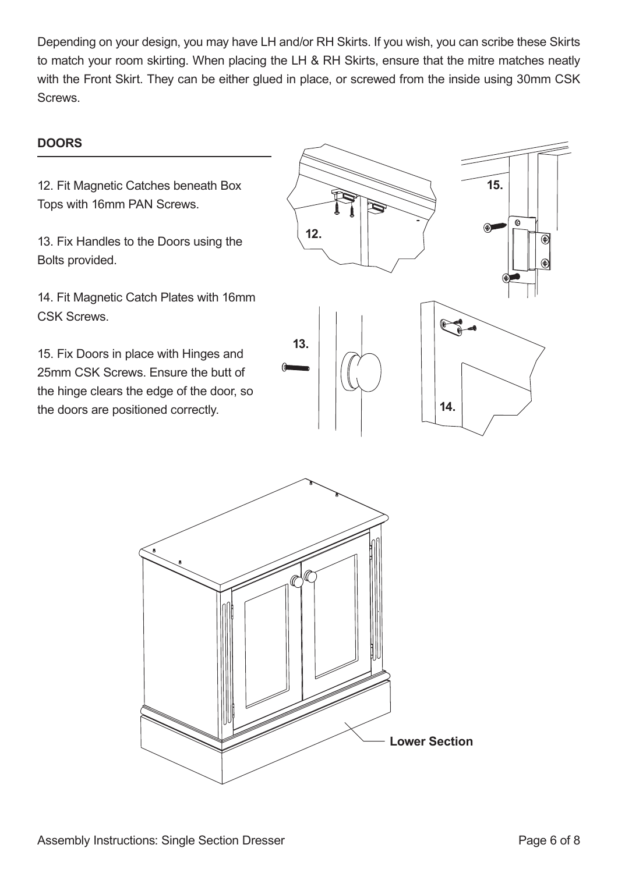Depending on your design, you may have LH and/or RH Skirts. If you wish, you can scribe these Skirts to match your room skirting. When placing the LH & RH Skirts, ensure that the mitre matches neatly with the Front Skirt. They can be either glued in place, or screwed from the inside using 30mm CSK Screws.

#### **DOORS**

12. Fit Magnetic Catches beneath Box Tops with 16mm PAN Screws.

13. Fix Handles to the Doors using the Bolts provided.

14. Fit Magnetic Catch Plates with 16mm CSK Screws.

15. Fix Doors in place with Hinges and 25mm CSK Screws. Ensure the butt of the hinge clears the edge of the door, so the doors are positioned correctly.



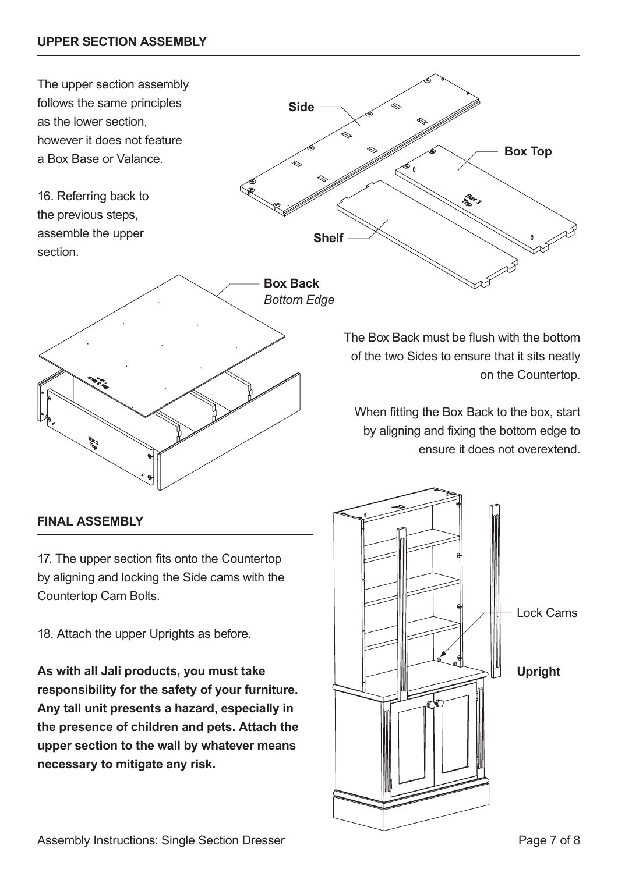

#### **FINAL ASSEMBLY**

17. The upper section fits onto the Countertop by aligning and locking the Side cams with the Countertop Cam Bolts.

18. Attach the upper Uprights as before.

**As with all Jali products, you must take responsibility for the safety of your furniture. Any tall unit presents a hazard, especially in the presence of children and pets. Attach the upper section to the wall by whatever means necessary to mitigate any risk.**